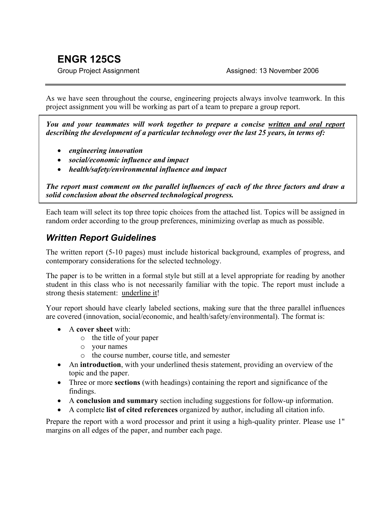# **ENGR 125CS**

As we have seen throughout the course, engineering projects always involve teamwork. In this project assignment you will be working as part of a team to prepare a group report.

*You and your teammates will work together to prepare a concise written and oral report describing the development of a particular technology over the last 25 years, in terms of:* 

- *engineering innovation*
- *social/economic influence and impact*
- *health/safety/environmental influence and impact*

*The report must comment on the parallel influences of each of the three factors and draw a solid conclusion about the observed technological progress.* 

Each team will select its top three topic choices from the attached list. Topics will be assigned in random order according to the group preferences, minimizing overlap as much as possible.

### *Written Report Guidelines*

The written report (5-10 pages) must include historical background, examples of progress, and contemporary considerations for the selected technology.

The paper is to be written in a formal style but still at a level appropriate for reading by another student in this class who is not necessarily familiar with the topic. The report must include a strong thesis statement: underline it!

Your report should have clearly labeled sections, making sure that the three parallel influences are covered (innovation, social/economic, and health/safety/environmental). The format is:

- A **cover sheet** with:
	- o the title of your paper
	- o your names
	- o the course number, course title, and semester
- An **introduction**, with your underlined thesis statement, providing an overview of the topic and the paper.
- Three or more **sections** (with headings) containing the report and significance of the findings.
- A **conclusion and summary** section including suggestions for follow-up information.
- A complete **list of cited references** organized by author, including all citation info.

Prepare the report with a word processor and print it using a high-quality printer. Please use 1" margins on all edges of the paper, and number each page.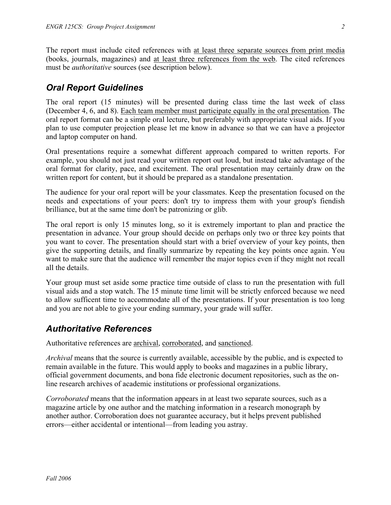The report must include cited references with at least three separate sources from print media (books, journals, magazines) and at least three references from the web. The cited references must be *authoritative* sources (see description below).

## *Oral Report Guidelines*

The oral report (15 minutes) will be presented during class time the last week of class (December 4, 6, and 8). Each team member must participate equally in the oral presentation. The oral report format can be a simple oral lecture, but preferably with appropriate visual aids. If you plan to use computer projection please let me know in advance so that we can have a projector and laptop computer on hand.

Oral presentations require a somewhat different approach compared to written reports. For example, you should not just read your written report out loud, but instead take advantage of the oral format for clarity, pace, and excitement. The oral presentation may certainly draw on the written report for content, but it should be prepared as a standalone presentation.

The audience for your oral report will be your classmates. Keep the presentation focused on the needs and expectations of your peers: don't try to impress them with your group's fiendish brilliance, but at the same time don't be patronizing or glib.

The oral report is only 15 minutes long, so it is extremely important to plan and practice the presentation in advance. Your group should decide on perhaps only two or three key points that you want to cover. The presentation should start with a brief overview of your key points, then give the supporting details, and finally summarize by repeating the key points once again. You want to make sure that the audience will remember the major topics even if they might not recall all the details.

Your group must set aside some practice time outside of class to run the presentation with full visual aids and a stop watch. The 15 minute time limit will be strictly enforced because we need to allow sufficent time to accommodate all of the presentations. If your presentation is too long and you are not able to give your ending summary, your grade will suffer.

# *Authoritative References*

Authoritative references are archival, corroborated, and sanctioned.

*Archival* means that the source is currently available, accessible by the public, and is expected to remain available in the future. This would apply to books and magazines in a public library, official government documents, and bona fide electronic document repositories, such as the online research archives of academic institutions or professional organizations.

*Corroborated* means that the information appears in at least two separate sources, such as a magazine article by one author and the matching information in a research monograph by another author. Corroboration does not guarantee accuracy, but it helps prevent published errors—either accidental or intentional—from leading you astray.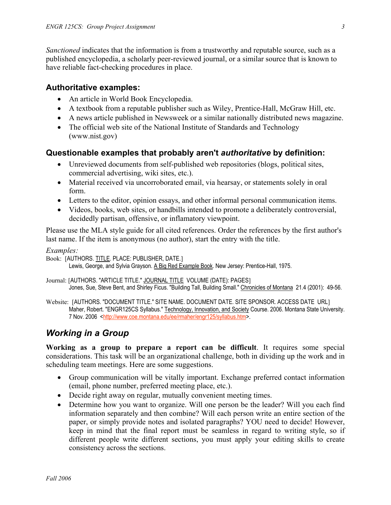*Sanctioned* indicates that the information is from a trustworthy and reputable source, such as a published encyclopedia, a scholarly peer-reviewed journal, or a similar source that is known to have reliable fact-checking procedures in place.

#### **Authoritative examples:**

- An article in World Book Encyclopedia.
- A textbook from a reputable publisher such as Wiley, Prentice-Hall, McGraw Hill, etc.
- A news article published in Newsweek or a similar nationally distributed news magazine.
- The official web site of the National Institute of Standards and Technology (www.nist.gov)

#### **Questionable examples that probably aren't** *authoritative* **by definition:**

- Unreviewed documents from self-published web repositories (blogs, political sites, commercial advertising, wiki sites, etc.).
- Material received via uncorroborated email, via hearsay, or statements solely in oral form.
- Letters to the editor, opinion essays, and other informal personal communication items.
- Videos, books, web sites, or handbills intended to promote a deliberately controversial, decidedly partisan, offensive, or inflamatory viewpoint.

Please use the MLA style guide for all cited references. Order the references by the first author's last name. If the item is anonymous (no author), start the entry with the title.

*Examples:* 

Book: [AUTHORS. TITLE. PLACE: PUBLISHER, DATE.] Lewis, George, and Sylvia Grayson. A Big Red Example Book. New Jersey: Prentice-Hall, 1975.

Journal: [AUTHORS. "ARTICLE TITLE." JOURNAL TITLE VOLUME (DATE): PAGES] Jones, Sue, Steve Bent, and Shirley Ficus. "Building Tall, Building Small." Chronicles of Montana 21.4 (2001): 49-56.

Website: [AUTHORS. "DOCUMENT TITLE." SITE NAME. DOCUMENT DATE. SITE SPONSOR. ACCESS DATE URL] Maher, Robert. "ENGR125CS Syllabus." Technology, Innovation, and Society Course. 2006. Montana State University. 7 Nov. 2006 <<http://www.coe.montana.edu/ee/rmaher/engr125/syllabus.htm>>.

# *Working in a Group*

**Working as a group to prepare a report can be difficult**. It requires some special considerations. This task will be an organizational challenge, both in dividing up the work and in scheduling team meetings. Here are some suggestions.

- Group communication will be vitally important. Exchange preferred contact information (email, phone number, preferred meeting place, etc.).
- Decide right away on regular, mutually convenient meeting times.
- Determine how you want to organize. Will one person be the leader? Will you each find information separately and then combine? Will each person write an entire section of the paper, or simply provide notes and isolated paragraphs? YOU need to decide! However, keep in mind that the final report must be seamless in regard to writing style, so if different people write different sections, you must apply your editing skills to create consistency across the sections.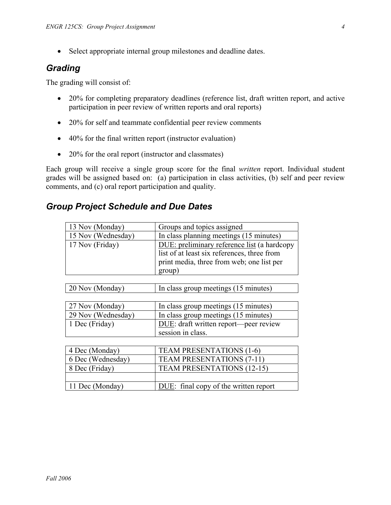• Select appropriate internal group milestones and deadline dates.

### *Grading*

The grading will consist of:

- 20% for completing preparatory deadlines (reference list, draft written report, and active participation in peer review of written reports and oral reports)
- 20% for self and teammate confidential peer review comments
- 40% for the final written report (instructor evaluation)
- 20% for the oral report (instructor and classmates)

Each group will receive a single group score for the final *written* report. Individual student grades will be assigned based on: (a) participation in class activities, (b) self and peer review comments, and (c) oral report participation and quality.

### *Group Project Schedule and Due Dates*

| 13 Nov (Monday)    | Groups and topics assigned                  |
|--------------------|---------------------------------------------|
| 15 Nov (Wednesday) | In class planning meetings (15 minutes)     |
| 17 Nov (Friday)    | DUE: preliminary reference list (a hardcopy |
|                    | list of at least six references, three from |
|                    | print media, three from web; one list per   |
|                    | group)                                      |
|                    |                                             |
| 20 Nov (Monday)    | In class group meetings (15 minutes)        |
|                    |                                             |
| 27 Nov (Monday)    | In class group meetings (15 minutes)        |
| 29 Nov (Wednesday) | In class group meetings (15 minutes)        |
| 1 Dec (Friday)     | DUE: draft written report—peer review       |
|                    | session in class.                           |
|                    |                                             |
| 4 Dec (Monday)     | <b>TEAM PRESENTATIONS (1-6)</b>             |
| 6 Dec (Wednesday)  | <b>TEAM PRESENTATIONS (7-11)</b>            |
| 8 Dec (Friday)     | <b>TEAM PRESENTATIONS (12-15)</b>           |
|                    |                                             |
| 11 Dec (Monday)    | DUE: final copy of the written report       |